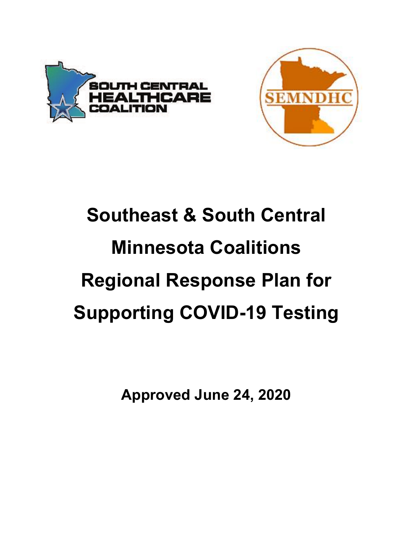



# **Southeast & South Central Minnesota Coalitions Regional Response Plan for Supporting COVID-19 Testing**

**Approved June 24, 2020**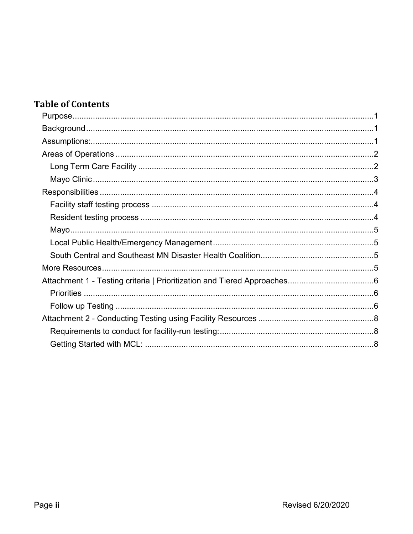## **Table of Contents**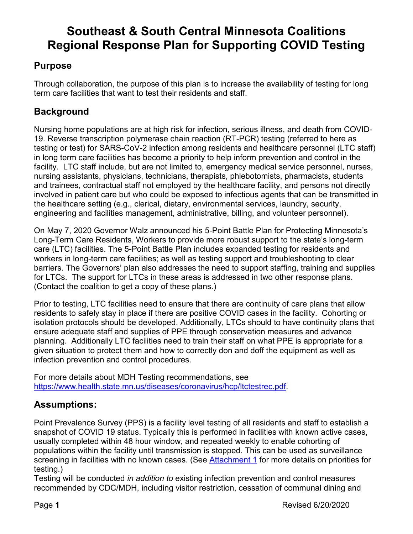## **Southeast & South Central Minnesota Coalitions Regional Response Plan for Supporting COVID Testing**

## <span id="page-2-0"></span>**Purpose**

Through collaboration, the purpose of this plan is to increase the availability of testing for long term care facilities that want to test their residents and staff.

## <span id="page-2-1"></span>**Background**

Nursing home populations are at high risk for infection, serious illness, and death from COVID-19. Reverse transcription polymerase chain reaction (RT-PCR) testing (referred to here as testing or test) for SARS-CoV-2 infection among residents and healthcare personnel (LTC staff) in long term care facilities has become a priority to help inform prevention and control in the facility. LTC staff include, but are not limited to, emergency medical service personnel, nurses, nursing assistants, physicians, technicians, therapists, phlebotomists, pharmacists, students and trainees, contractual staff not employed by the healthcare facility, and persons not directly involved in patient care but who could be exposed to infectious agents that can be transmitted in the healthcare setting (e.g., clerical, dietary, environmental services, laundry, security, engineering and facilities management, administrative, billing, and volunteer personnel).

On May 7, 2020 Governor Walz announced his 5-Point Battle Plan for Protecting Minnesota's Long-Term Care Residents, Workers to provide more robust support to the state's long-term care (LTC) facilities. The 5-Point Battle Plan includes expanded testing for residents and workers in long-term care facilities; as well as testing support and troubleshooting to clear barriers. The Governors' plan also addresses the need to support staffing, training and supplies for LTCs. The support for LTCs in these areas is addressed in two other response plans. (Contact the coalition to get a copy of these plans.)

Prior to testing, LTC facilities need to ensure that there are continuity of care plans that allow residents to safely stay in place if there are positive COVID cases in the facility. Cohorting or isolation protocols should be developed. Additionally, LTCs should to have continuity plans that ensure adequate staff and supplies of PPE through conservation measures and advance planning. Additionally LTC facilities need to train their staff on what PPE is appropriate for a given situation to protect them and how to correctly don and doff the equipment as well as infection prevention and control procedures.

For more details about MDH Testing recommendations, see [https://www.health.state.mn.us/diseases/coronavirus/hcp/ltctestrec.pdf.](https://www.health.state.mn.us/diseases/coronavirus/hcp/ltctestrec.pdf)

## <span id="page-2-2"></span>**Assumptions:**

Point Prevalence Survey (PPS) is a facility level testing of all residents and staff to establish a snapshot of COVID 19 status. Typically this is performed in facilities with known active cases, usually completed within 48 hour window, and repeated weekly to enable cohorting of populations within the facility until transmission is stopped. This can be used as surveillance screening in facilities with no known cases. (See [Attachment 1](#page-7-0) for more details on priorities for testing.)

Testing will be conducted *in addition to* existing infection prevention and control measures recommended by CDC/MDH, including visitor restriction, cessation of communal dining and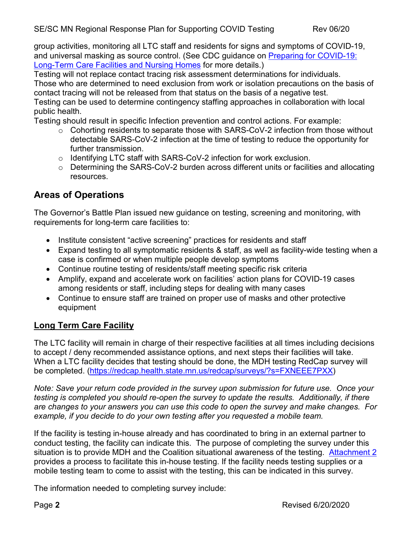Testing will not replace contact tracing risk assessment determinations for individuals.

Those who are determined to need exclusion from work or isolation precautions on the basis of contact tracing will not be released from that status on the basis of a negative test.

Testing can be used to determine contingency staffing approaches in collaboration with local public health.

Testing should result in specific Infection prevention and control actions. For example:

- o Cohorting residents to separate those with SARS-CoV-2 infection from those without detectable SARS-CoV-2 infection at the time of testing to reduce the opportunity for further transmission.
- o Identifying LTC staff with SARS-CoV-2 infection for work exclusion.
- o Determining the SARS-CoV-2 burden across different units or facilities and allocating resources.

### <span id="page-3-0"></span>**Areas of Operations**

The Governor's Battle Plan issued new guidance on testing, screening and monitoring, with requirements for long-term care facilities to:

- Institute consistent "active screening" practices for residents and staff
- Expand testing to all symptomatic residents & staff, as well as facility-wide testing when a case is confirmed or when multiple people develop symptoms
- Continue routine testing of residents/staff meeting specific risk criteria
- Amplify, expand and accelerate work on facilities' action plans for COVID-19 cases among residents or staff, including steps for dealing with many cases
- Continue to ensure staff are trained on proper use of masks and other protective equipment

#### <span id="page-3-1"></span>**Long Term Care Facility**

The LTC facility will remain in charge of their respective facilities at all times including decisions to accept / deny recommended assistance options, and next steps their facilities will take. When a LTC facility decides that testing should be done, the MDH testing RedCap survey will be completed. [\(https://redcap.health.state.mn.us/redcap/surveys/?s=FXNEEE7PXX\)](https://redcap.health.state.mn.us/redcap/surveys/?s=FXNEEE7PXX)

*Note: Save your return code provided in the survey upon submission for future use. Once your testing is completed you should re-open the survey to update the results. Additionally, if there are changes to your answers you can use this code to open the survey and make changes. For example, if you decide to do your own testing after you requested a mobile team.*

If the facility is testing in-house already and has coordinated to bring in an external partner to conduct testing, the facility can indicate this. The purpose of completing the survey under this situation is to provide MDH and the Coalition situational awareness of the testing. [Attachment 2](#page-9-0) provides a process to facilitate this in-house testing. If the facility needs testing supplies or a mobile testing team to come to assist with the testing, this can be indicated in this survey.

The information needed to completing survey include: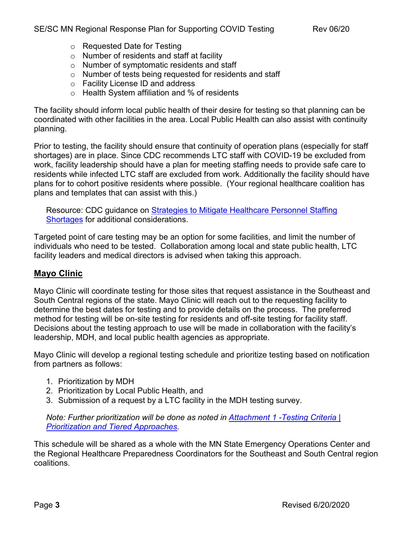- o Requested Date for Testing
- o Number of residents and staff at facility
- o Number of symptomatic residents and staff
- o Number of tests being requested for residents and staff
- o Facility License ID and address
- o Health System affiliation and % of residents

The facility should inform local public health of their desire for testing so that planning can be coordinated with other facilities in the area. Local Public Health can also assist with continuity planning.

Prior to testing, the facility should ensure that continuity of operation plans (especially for staff shortages) are in place. Since CDC recommends LTC staff with COVID-19 be excluded from work, facility leadership should have a plan for meeting staffing needs to provide safe care to residents while infected LTC staff are excluded from work. Additionally the facility should have plans for to cohort positive residents where possible. (Your regional healthcare coalition has plans and templates that can assist with this.)

Resource: CDC guidance on **Strategies to Mitigate Healthcare Personnel Staffing** [Shortages](https://www.cdc.gov/coronavirus/2019-ncov/hcp/mitigating-staff-shortages.html) for additional considerations.

Targeted point of care testing may be an option for some facilities, and limit the number of individuals who need to be tested. Collaboration among local and state public health, LTC facility leaders and medical directors is advised when taking this approach.

#### <span id="page-4-0"></span>**Mayo Clinic**

Mayo Clinic will coordinate testing for those sites that request assistance in the Southeast and South Central regions of the state. Mayo Clinic will reach out to the requesting facility to determine the best dates for testing and to provide details on the process. The preferred method for testing will be on-site testing for residents and off-site testing for facility staff. Decisions about the testing approach to use will be made in collaboration with the facility's leadership, MDH, and local public health agencies as appropriate.

Mayo Clinic will develop a regional testing schedule and prioritize testing based on notification from partners as follows:

- 1. Prioritization by MDH
- 2. Prioritization by Local Public Health, and
- 3. Submission of a request by a LTC facility in the MDH testing survey.

*Note: Further prioritization will be done as noted in [Attachment 1 -Testing Criteria |](#page-7-0) [Prioritization and Tiered Approaches.](#page-7-0)*

This schedule will be shared as a whole with the MN State Emergency Operations Center and the Regional Healthcare Preparedness Coordinators for the Southeast and South Central region coalitions.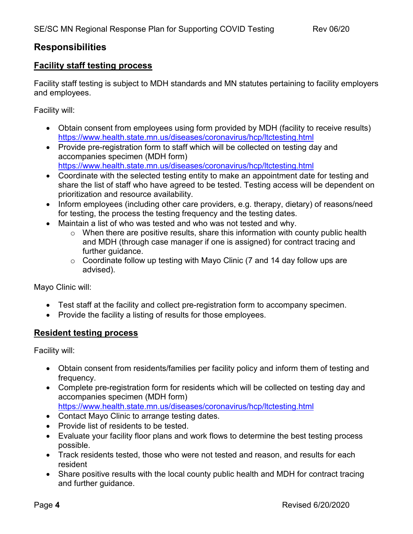#### <span id="page-5-0"></span>**Responsibilities**

#### <span id="page-5-1"></span>**Facility staff testing process**

Facility staff testing is subject to MDH standards and MN statutes pertaining to facility employers and employees.

Facility will:

- Obtain consent from employees using form provided by MDH (facility to receive results) <https://www.health.state.mn.us/diseases/coronavirus/hcp/ltctesting.html>
- Provide pre-registration form to staff which will be collected on testing day and accompanies specimen (MDH form) <https://www.health.state.mn.us/diseases/coronavirus/hcp/ltctesting.html>
- Coordinate with the selected testing entity to make an appointment date for testing and share the list of staff who have agreed to be tested. Testing access will be dependent on prioritization and resource availability.
- Inform employees (including other care providers, e.g. therapy, dietary) of reasons/need for testing, the process the testing frequency and the testing dates.
- Maintain a list of who was tested and who was not tested and why.
	- $\circ$  When there are positive results, share this information with county public health and MDH (through case manager if one is assigned) for contract tracing and further guidance.
	- $\circ$  Coordinate follow up testing with Mayo Clinic (7 and 14 day follow ups are advised).

Mayo Clinic will:

- Test staff at the facility and collect pre-registration form to accompany specimen.
- Provide the facility a listing of results for those employees.

#### <span id="page-5-2"></span>**Resident testing process**

Facility will:

- Obtain consent from residents/families per facility policy and inform them of testing and frequency.
- Complete pre-registration form for residents which will be collected on testing day and accompanies specimen (MDH form) <https://www.health.state.mn.us/diseases/coronavirus/hcp/ltctesting.html>
- Contact Mayo Clinic to arrange testing dates.
- Provide list of residents to be tested.
- Evaluate your facility floor plans and work flows to determine the best testing process possible.
- Track residents tested, those who were not tested and reason, and results for each resident
- Share positive results with the local county public health and MDH for contract tracing and further guidance.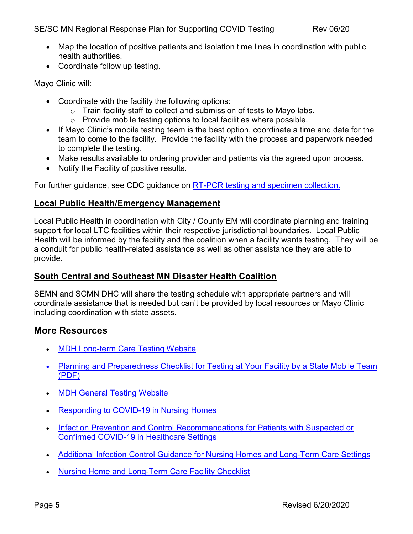- Map the location of positive patients and isolation time lines in coordination with public health authorities.
- Coordinate follow up testing.

<span id="page-6-0"></span>Mayo Clinic will:

- Coordinate with the facility the following options:
	- o Train facility staff to collect and submission of tests to Mayo labs.
	- o Provide mobile testing options to local facilities where possible.
- If Mayo Clinic's mobile testing team is the best option, coordinate a time and date for the team to come to the facility. Provide the facility with the process and paperwork needed to complete the testing.
- Make results available to ordering provider and patients via the agreed upon process.
- Notify the Facility of positive results.

For further guidance, see CDC guidance on [RT-PCR testing and specimen collection.](https://www.cdc.gov/coronavirus/2019-nCoV/lab/index.html)

#### <span id="page-6-1"></span>**Local Public Health/Emergency Management**

Local Public Health in coordination with City / County EM will coordinate planning and training support for local LTC facilities within their respective jurisdictional boundaries. Local Public Health will be informed by the facility and the coalition when a facility wants testing. They will be a conduit for public health-related assistance as well as other assistance they are able to provide.

#### <span id="page-6-2"></span>**South Central and Southeast MN Disaster Health Coalition**

SEMN and SCMN DHC will share the testing schedule with appropriate partners and will coordinate assistance that is needed but can't be provided by local resources or Mayo Clinic including coordination with state assets.

#### <span id="page-6-3"></span>**More Resources**

- [MDH Long-term Care Testing Website](https://www.health.state.mn.us/diseases/coronavirus/hcp/ltctesting.html)
- [Planning and Preparedness Checklist for Testing at Your Facility by a State Mobile Team](https://www.health.state.mn.us/diseases/coronavirus/hcp/ltctestlist.pdf)  [\(PDF\)](https://www.health.state.mn.us/diseases/coronavirus/hcp/ltctestlist.pdf)
- **[MDH General Testing Website](https://www.health.state.mn.us/diseases/coronavirus/hcp/eval.html)**
- [Responding to COVID-19 in Nursing Homes](https://www.cdc.gov/coronavirus/2019-ncov/hcp/nursing-homes-responding.html)
- Infection Prevention and Control Recommendations for Patients with Suspected or [Confirmed COVID-19 in Healthcare Settings](https://www.cdc.gov/coronavirus/2019-ncov/hcp/infection-control-recommendations.html)
- [Additional Infection Control Guidance for Nursing Homes and Long-Term Care Settings](https://www.cdc.gov/coronavirus/2019-ncov/hcp/long-term-care.html)
- [Nursing Home and Long-Term Care Facility Checklist](https://www.cdc.gov/coronavirus/2019-ncov/hcp/long-term-care-checklist.html)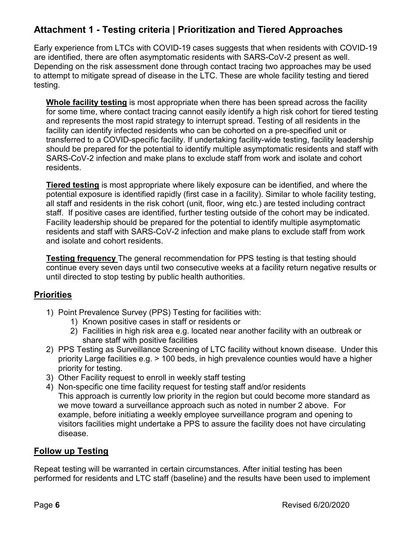## <span id="page-7-0"></span>**Attachment 1 - Testing criteria | Prioritization and Tiered Approaches**

Early experience from LTCs with COVID-19 cases suggests that when residents with COVID-19 are identified, there are often asymptomatic residents with SARS-CoV-2 present as well. Depending on the risk assessment done through contact tracing two approaches may be used to attempt to mitigate spread of disease in the LTC. These are whole facility testing and tiered testing.

**Whole facility testing** is most appropriate when there has been spread across the facility for some time, where contact tracing cannot easily identify a high risk cohort for tiered testing and represents the most rapid strategy to interrupt spread. Testing of all residents in the facility can identify infected residents who can be cohorted on a pre-specified unit or transferred to a COVID-specific facility. If undertaking facility-wide testing, facility leadership should be prepared for the potential to identify multiple asymptomatic residents and staff with SARS-CoV-2 infection and make plans to exclude staff from work and isolate and cohort residents.

**Tiered testing** is most appropriate where likely exposure can be identified, and where the potential exposure is identified rapidly (first case in a facility). Similar to whole facility testing, all staff and residents in the risk cohort (unit, floor, wing etc.) are tested including contract staff. If positive cases are identified, further testing outside of the cohort may be indicated. Facility leadership should be prepared for the potential to identify multiple asymptomatic residents and staff with SARS-CoV-2 infection and make plans to exclude staff from work and isolate and cohort residents.

**Testing frequency** The general recommendation for PPS testing is that testing should continue every seven days until two consecutive weeks at a facility return negative results or until directed to stop testing by public health authorities.

#### <span id="page-7-1"></span>**Priorities**

- 1) Point Prevalence Survey (PPS) Testing for facilities with:
	- 1) Known positive cases in staff or residents or
	- 2) Facilities in high risk area e.g. located near another facility with an outbreak or share staff with positive facilities
- 2) PPS Testing as Surveillance Screening of LTC facility without known disease. Under this priority Large facilities e.g. > 100 beds, in high prevalence counties would have a higher priority for testing.
- 3) Other Facility request to enroll in weekly staff testing
- 4) Non-specific one time facility request for testing staff and/or residents This approach is currently low priority in the region but could become more standard as we move toward a surveillance approach such as noted in number 2 above. For example, before initiating a weekly employee surveillance program and opening to visitors facilities might undertake a PPS to assure the facility does not have circulating disease.

#### <span id="page-7-2"></span>**Follow up Testing**

Repeat testing will be warranted in certain circumstances. After initial testing has been performed for residents and LTC staff (baseline) and the results have been used to implement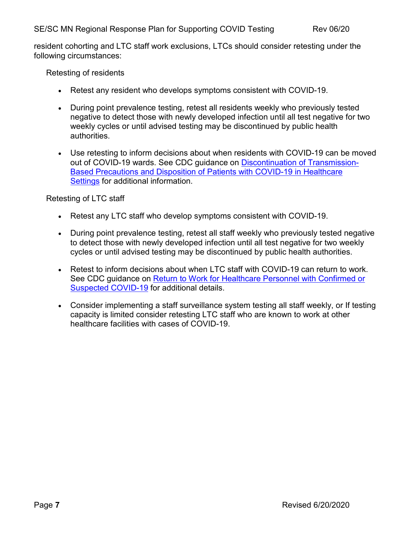resident cohorting and LTC staff work exclusions, LTCs should consider retesting under the following circumstances:

Retesting of residents

- Retest any resident who develops symptoms consistent with COVID-19.
- During point prevalence testing, retest all residents weekly who previously tested negative to detect those with newly developed infection until all test negative for two weekly cycles or until advised testing may be discontinued by public health authorities.
- Use retesting to inform decisions about when residents with COVID-19 can be moved out of COVID-19 wards. See CDC guidance on [Discontinuation of Transmission-](https://www.cdc.gov/coronavirus/2019-ncov/hcp/disposition-hospitalized-patients.html)[Based Precautions and Disposition of Patients with COVID-19 in Healthcare](https://www.cdc.gov/coronavirus/2019-ncov/hcp/disposition-hospitalized-patients.html)  [Settings](https://www.cdc.gov/coronavirus/2019-ncov/hcp/disposition-hospitalized-patients.html) for additional information.

Retesting of LTC staff

- Retest any LTC staff who develop symptoms consistent with COVID-19.
- During point prevalence testing, retest all staff weekly who previously tested negative to detect those with newly developed infection until all test negative for two weekly cycles or until advised testing may be discontinued by public health authorities.
- Retest to inform decisions about when LTC staff with COVID-19 can return to work. See CDC guidance on [Return to Work for Healthcare Personnel with Confirmed or](https://www.cdc.gov/coronavirus/2019-ncov/hcp/return-to-work.html)  [Suspected COVID-19](https://www.cdc.gov/coronavirus/2019-ncov/hcp/return-to-work.html) for additional details.
- Consider implementing a staff surveillance system testing all staff weekly, or If testing capacity is limited consider retesting LTC staff who are known to work at other healthcare facilities with cases of COVID-19.